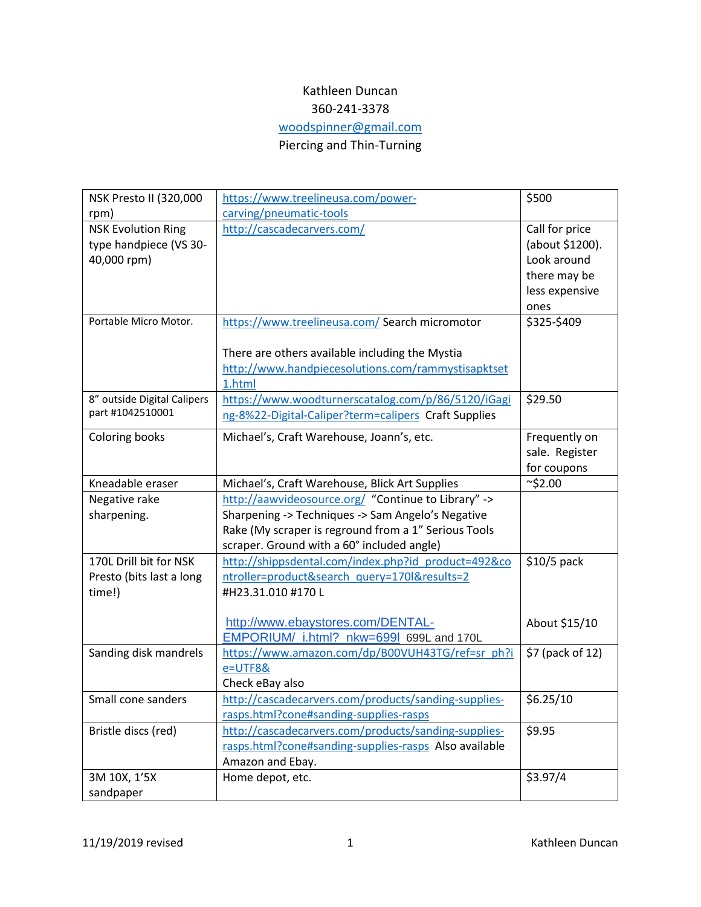## Kathleen Duncan

360-241-3378

## [woodspinner@gmail.com](mailto:woodspinner@gmail.com)

## Piercing and Thin-Turning

| <b>NSK Presto II (320,000</b> | https://www.treelineusa.com/power-                    | \$500            |
|-------------------------------|-------------------------------------------------------|------------------|
| rpm)                          | carving/pneumatic-tools                               |                  |
| <b>NSK Evolution Ring</b>     | http://cascadecarvers.com/                            | Call for price   |
| type handpiece (VS 30-        |                                                       | (about \$1200).  |
| 40,000 rpm)                   |                                                       | Look around      |
|                               |                                                       | there may be     |
|                               |                                                       | less expensive   |
|                               |                                                       | ones             |
| Portable Micro Motor.         | https://www.treelineusa.com/ Search micromotor        | \$325-\$409      |
|                               |                                                       |                  |
|                               |                                                       |                  |
|                               | There are others available including the Mystia       |                  |
|                               | http://www.handpiecesolutions.com/rammystisapktset    |                  |
|                               | 1.html                                                |                  |
| 8" outside Digital Calipers   | https://www.woodturnerscatalog.com/p/86/5120/iGagi    | \$29.50          |
| part #1042510001              | ng-8%22-Digital-Caliper?term=calipers Craft Supplies  |                  |
| Coloring books                | Michael's, Craft Warehouse, Joann's, etc.             | Frequently on    |
|                               |                                                       | sale. Register   |
|                               |                                                       | for coupons      |
| Kneadable eraser              | Michael's, Craft Warehouse, Blick Art Supplies        | $\sim$ \$2.00    |
| Negative rake                 | http://aawvideosource.org/ "Continue to Library" ->   |                  |
| sharpening.                   | Sharpening -> Techniques -> Sam Angelo's Negative     |                  |
|                               |                                                       |                  |
|                               | Rake (My scraper is reground from a 1" Serious Tools  |                  |
|                               | scraper. Ground with a 60° included angle)            |                  |
| 170L Drill bit for NSK        | http://shippsdental.com/index.php?id product=492&co   | $$10/5$ pack     |
| Presto (bits last a long      | ntroller=product&search query=170l&results=2          |                  |
| time!)                        | #H23.31.010 #170 L                                    |                  |
|                               |                                                       |                  |
|                               | http://www.ebaystores.com/DENTAL-                     | About \$15/10    |
|                               | EMPORIUM/_i.html?_nkw=699l 699L and 170L              |                  |
| Sanding disk mandrels         | https://www.amazon.com/dp/B00VUH43TG/ref=sr_ph?i      | \$7 (pack of 12) |
|                               | e=UTF8&                                               |                  |
|                               | Check eBay also                                       |                  |
| Small cone sanders            | http://cascadecarvers.com/products/sanding-supplies-  | \$6.25/10        |
|                               | rasps.html?cone#sanding-supplies-rasps                |                  |
| Bristle discs (red)           | http://cascadecarvers.com/products/sanding-supplies-  | \$9.95           |
|                               |                                                       |                  |
|                               | rasps.html?cone#sanding-supplies-rasps Also available |                  |
|                               |                                                       |                  |
| 3M 10X, 1'5X                  | Amazon and Ebay.<br>Home depot, etc.                  | \$3.97/4         |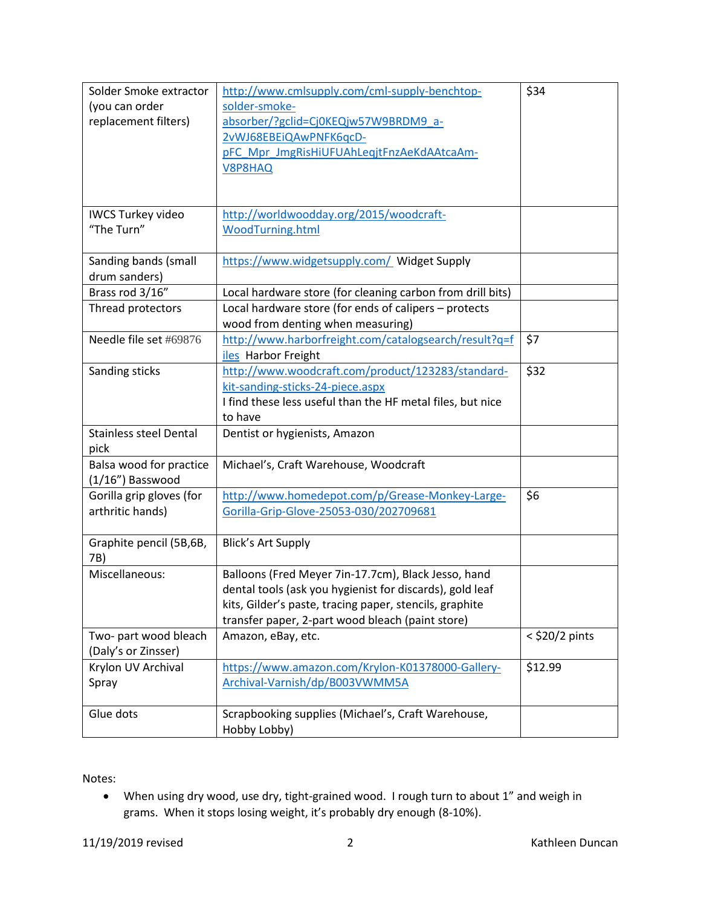| Solder Smoke extractor        | http://www.cmlsupply.com/cml-supply-benchtop-              | \$34             |
|-------------------------------|------------------------------------------------------------|------------------|
| (you can order                | solder-smoke-                                              |                  |
| replacement filters)          | absorber/?gclid=Cj0KEQjw57W9BRDM9 a-                       |                  |
|                               | 2vWJ68EBEiQAwPNFK6qcD-                                     |                  |
|                               | pFC Mpr JmgRisHiUFUAhLeqjtFnzAeKdAAtcaAm-                  |                  |
|                               | <b>V8P8HAQ</b>                                             |                  |
|                               |                                                            |                  |
| <b>IWCS Turkey video</b>      | http://worldwoodday.org/2015/woodcraft-                    |                  |
| "The Turn"                    | WoodTurning.html                                           |                  |
|                               |                                                            |                  |
| Sanding bands (small          | https://www.widgetsupply.com/ Widget Supply                |                  |
| drum sanders)                 |                                                            |                  |
| Brass rod 3/16"               | Local hardware store (for cleaning carbon from drill bits) |                  |
| Thread protectors             | Local hardware store (for ends of calipers - protects      |                  |
|                               | wood from denting when measuring)                          |                  |
| Needle file set #69876        | http://www.harborfreight.com/catalogsearch/result?q=f      | \$7              |
|                               | iles Harbor Freight                                        |                  |
| Sanding sticks                | http://www.woodcraft.com/product/123283/standard-          | \$32             |
|                               | kit-sanding-sticks-24-piece.aspx                           |                  |
|                               | I find these less useful than the HF metal files, but nice |                  |
|                               | to have                                                    |                  |
| <b>Stainless steel Dental</b> | Dentist or hygienists, Amazon                              |                  |
| pick                          |                                                            |                  |
| Balsa wood for practice       | Michael's, Craft Warehouse, Woodcraft                      |                  |
| $(1/16'')$ Basswood           |                                                            |                  |
| Gorilla grip gloves (for      | http://www.homedepot.com/p/Grease-Monkey-Large-            | \$6              |
| arthritic hands)              | Gorilla-Grip-Glove-25053-030/202709681                     |                  |
| Graphite pencil (5B,6B,       | <b>Blick's Art Supply</b>                                  |                  |
| 7B)                           |                                                            |                  |
| Miscellaneous:                | Balloons (Fred Meyer 7in-17.7cm), Black Jesso, hand        |                  |
|                               | dental tools (ask you hygienist for discards), gold leaf   |                  |
|                               | kits, Gilder's paste, tracing paper, stencils, graphite    |                  |
|                               | transfer paper, 2-part wood bleach (paint store)           |                  |
| Two- part wood bleach         | Amazon, eBay, etc.                                         | $<$ \$20/2 pints |
| (Daly's or Zinsser)           |                                                            |                  |
| Krylon UV Archival            | https://www.amazon.com/Krylon-K01378000-Gallery-           | \$12.99          |
| Spray                         | Archival-Varnish/dp/B003VWMM5A                             |                  |
|                               |                                                            |                  |
| Glue dots                     | Scrapbooking supplies (Michael's, Craft Warehouse,         |                  |
|                               | Hobby Lobby)                                               |                  |

Notes:

• When using dry wood, use dry, tight-grained wood. I rough turn to about 1" and weigh in grams. When it stops losing weight, it's probably dry enough (8-10%).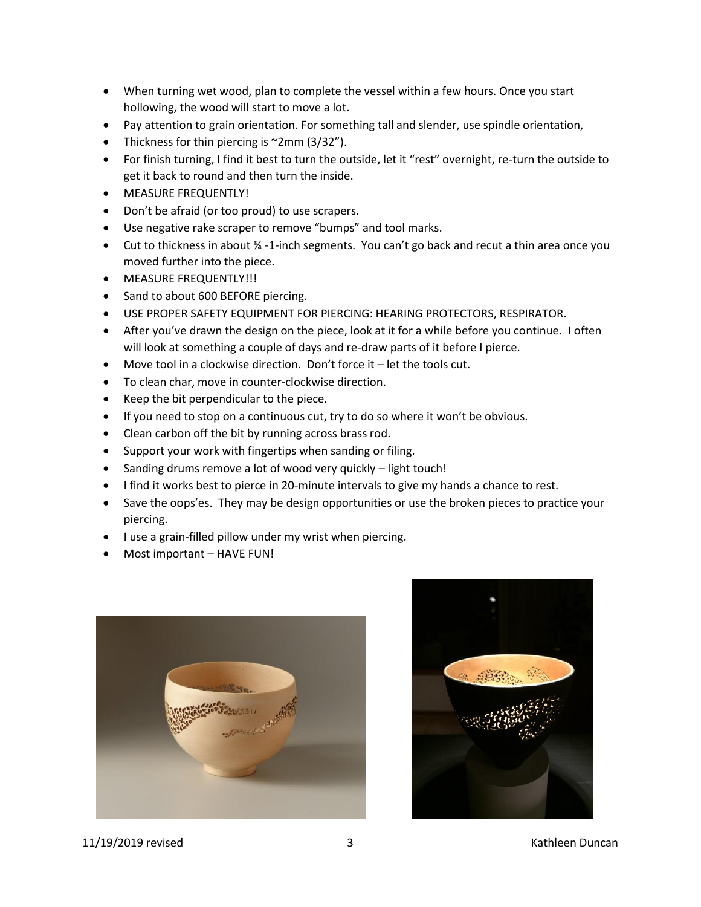- When turning wet wood, plan to complete the vessel within a few hours. Once you start hollowing, the wood will start to move a lot.
- Pay attention to grain orientation. For something tall and slender, use spindle orientation,
- Thickness for thin piercing is  $\gamma$ 2mm (3/32").
- For finish turning, I find it best to turn the outside, let it "rest" overnight, re-turn the outside to get it back to round and then turn the inside.
- MEASURE FREQUENTLY!
- Don't be afraid (or too proud) to use scrapers.
- Use negative rake scraper to remove "bumps" and tool marks.
- Cut to thickness in about  $\frac{3}{4}$ -1-inch segments. You can't go back and recut a thin area once you moved further into the piece.
- MEASURE FREQUENTLY!!!
- Sand to about 600 BEFORE piercing.
- USE PROPER SAFETY EQUIPMENT FOR PIERCING: HEARING PROTECTORS, RESPIRATOR.
- After you've drawn the design on the piece, look at it for a while before you continue. I often will look at something a couple of days and re-draw parts of it before I pierce.
- Move tool in a clockwise direction. Don't force it let the tools cut.
- To clean char, move in counter-clockwise direction.
- Keep the bit perpendicular to the piece.
- If you need to stop on a continuous cut, try to do so where it won't be obvious.
- Clean carbon off the bit by running across brass rod.
- Support your work with fingertips when sanding or filing.
- Sanding drums remove a lot of wood very quickly light touch!
- I find it works best to pierce in 20-minute intervals to give my hands a chance to rest.
- Save the oops'es. They may be design opportunities or use the broken pieces to practice your piercing.
- I use a grain-filled pillow under my wrist when piercing.
- Most important HAVE FUN!





11/19/2019 revised 3 Kathleen Duncan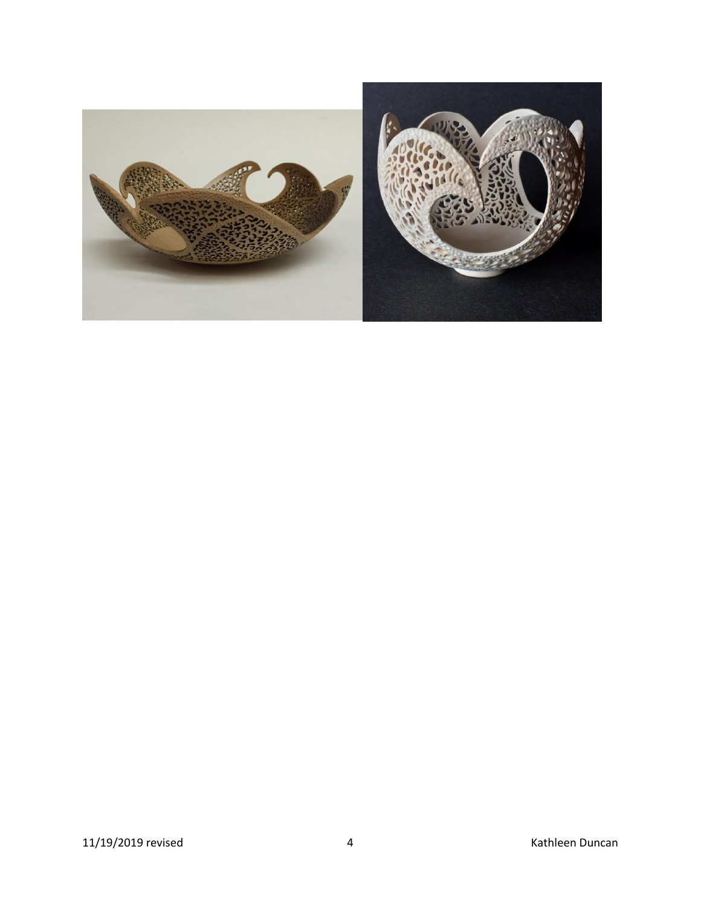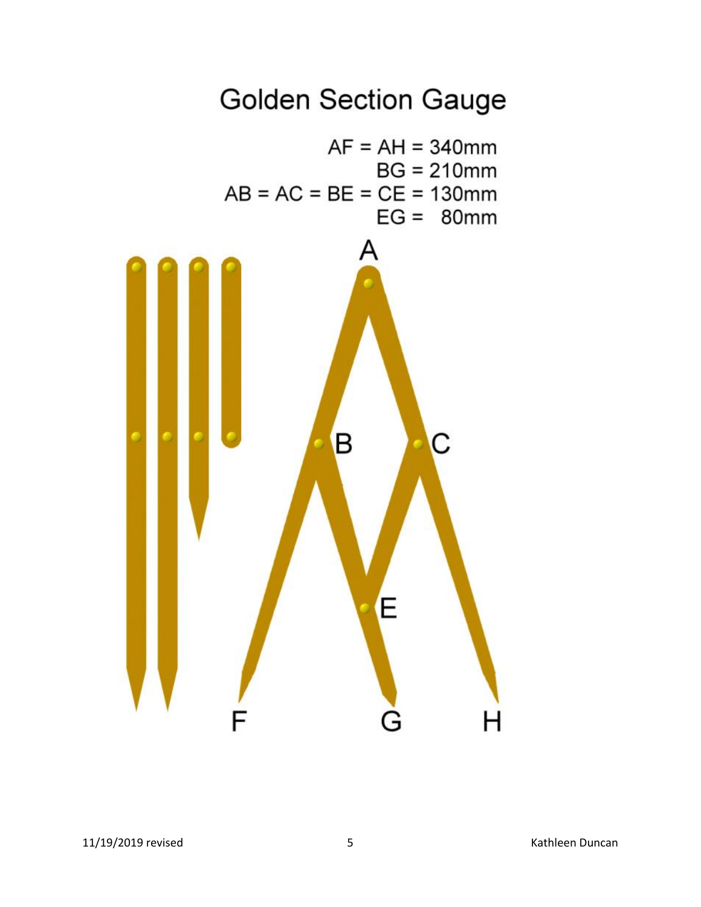## **Golden Section Gauge**

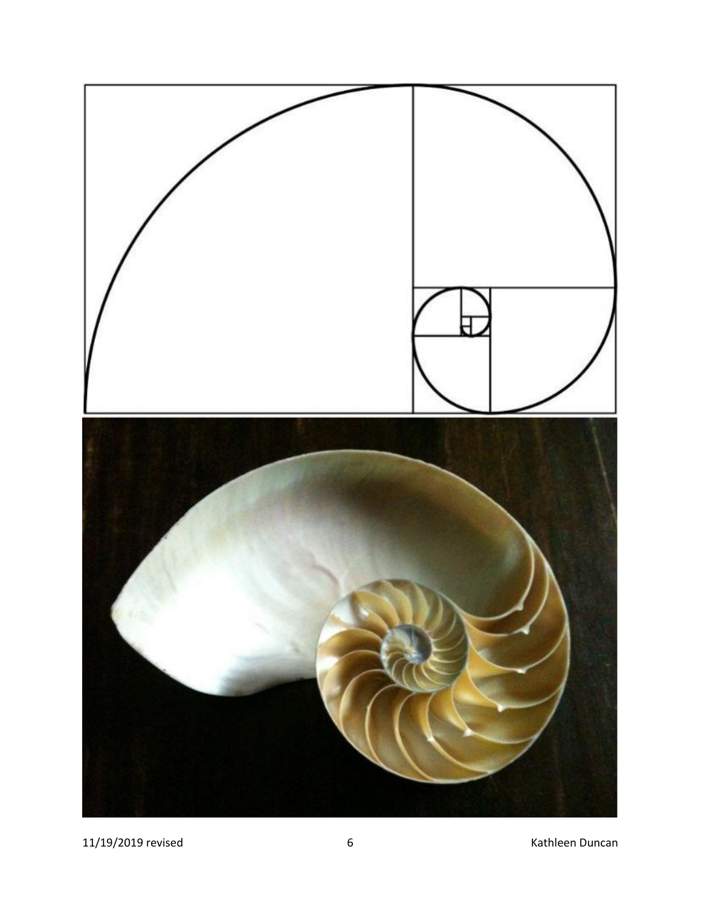